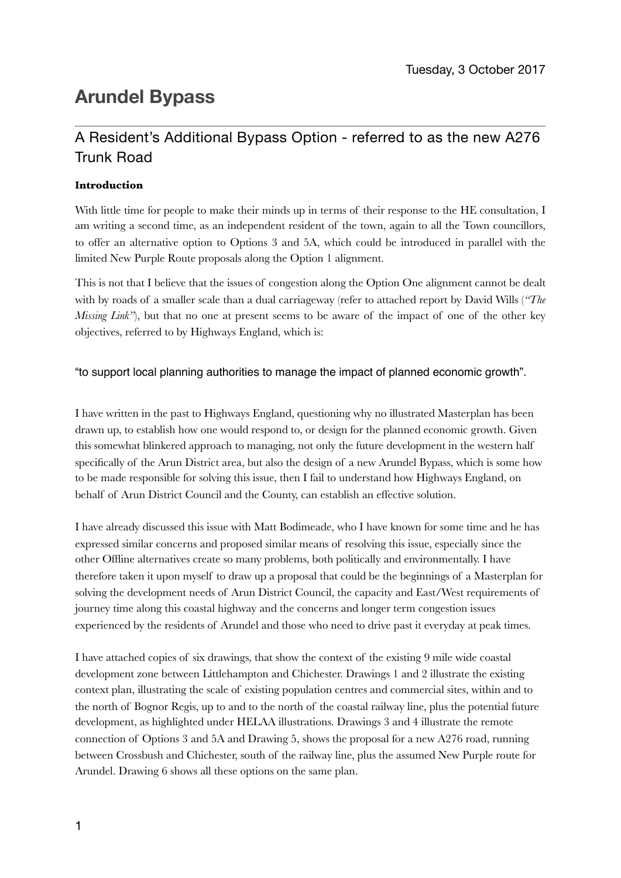# **Arundel Bypass**

## A Resident's Additional Bypass Option - referred to as the new A276 Trunk Road

### **Introduction**

With little time for people to make their minds up in terms of their response to the HE consultation, I am writing a second time, as an independent resident of the town, again to all the Town councillors, to offer an alternative option to Options 3 and 5A, which could be introduced in parallel with the limited New Purple Route proposals along the Option 1 alignment.

This is not that I believe that the issues of congestion along the Option One alignment cannot be dealt with by roads of a smaller scale than a dual carriageway (refer to attached report by David Wills (*"The Missing Link*"), but that no one at present seems to be aware of the impact of one of the other key objectives, referred to by Highways England, which is:

#### "to support local planning authorities to manage the impact of planned economic growth".

I have written in the past to Highways England, questioning why no illustrated Masterplan has been drawn up, to establish how one would respond to, or design for the planned economic growth. Given this somewhat blinkered approach to managing, not only the future development in the western half specifically of the Arun District area, but also the design of a new Arundel Bypass, which is some how to be made responsible for solving this issue, then I fail to understand how Highways England, on behalf of Arun District Council and the County, can establish an effective solution.

I have already discussed this issue with Matt Bodimeade, who I have known for some time and he has expressed similar concerns and proposed similar means of resolving this issue, especially since the other Offline alternatives create so many problems, both politically and environmentally. I have therefore taken it upon myself to draw up a proposal that could be the beginnings of a Masterplan for solving the development needs of Arun District Council, the capacity and East/West requirements of journey time along this coastal highway and the concerns and longer term congestion issues experienced by the residents of Arundel and those who need to drive past it everyday at peak times.

I have attached copies of six drawings, that show the context of the existing 9 mile wide coastal development zone between Littlehampton and Chichester. Drawings 1 and 2 illustrate the existing context plan, illustrating the scale of existing population centres and commercial sites, within and to the north of Bognor Regis, up to and to the north of the coastal railway line, plus the potential future development, as highlighted under HELAA illustrations. Drawings 3 and 4 illustrate the remote connection of Options 3 and 5A and Drawing 5, shows the proposal for a new A276 road, running between Crossbush and Chichester, south of the railway line, plus the assumed New Purple route for Arundel. Drawing 6 shows all these options on the same plan.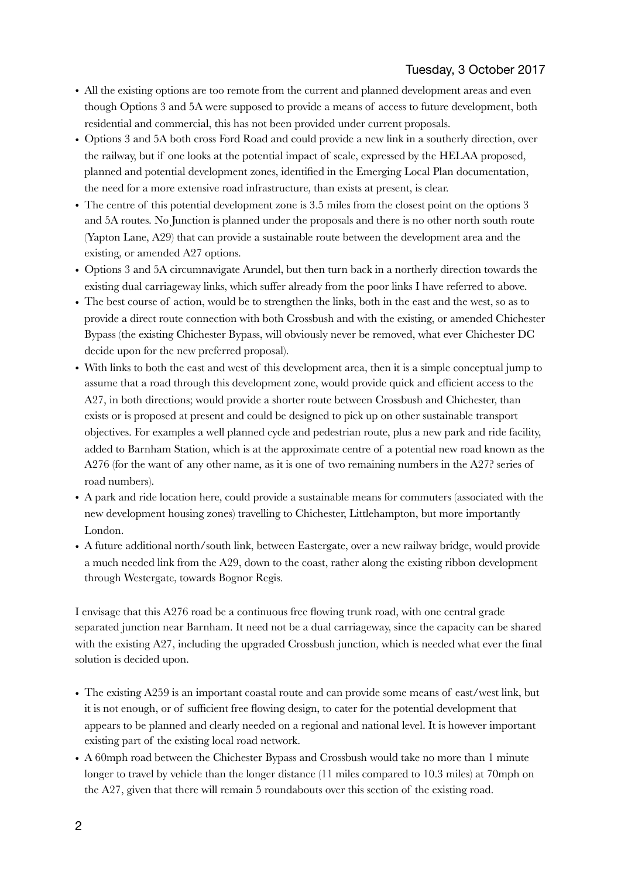- All the existing options are too remote from the current and planned development areas and even though Options 3 and 5A were supposed to provide a means of access to future development, both residential and commercial, this has not been provided under current proposals.
- Options 3 and 5A both cross Ford Road and could provide a new link in a southerly direction, over the railway, but if one looks at the potential impact of scale, expressed by the HELAA proposed, planned and potential development zones, identified in the Emerging Local Plan documentation, the need for a more extensive road infrastructure, than exists at present, is clear.
- The centre of this potential development zone is 3.5 miles from the closest point on the options 3 and 5A routes. No Junction is planned under the proposals and there is no other north south route (Yapton Lane, A29) that can provide a sustainable route between the development area and the existing, or amended A27 options.
- Options 3 and 5A circumnavigate Arundel, but then turn back in a northerly direction towards the existing dual carriageway links, which suffer already from the poor links I have referred to above.
- The best course of action, would be to strengthen the links, both in the east and the west, so as to provide a direct route connection with both Crossbush and with the existing, or amended Chichester Bypass (the existing Chichester Bypass, will obviously never be removed, what ever Chichester DC decide upon for the new preferred proposal).
- With links to both the east and west of this development area, then it is a simple conceptual jump to assume that a road through this development zone, would provide quick and efficient access to the A27, in both directions; would provide a shorter route between Crossbush and Chichester, than exists or is proposed at present and could be designed to pick up on other sustainable transport objectives. For examples a well planned cycle and pedestrian route, plus a new park and ride facility, added to Barnham Station, which is at the approximate centre of a potential new road known as the A276 (for the want of any other name, as it is one of two remaining numbers in the A27? series of road numbers).
- A park and ride location here, could provide a sustainable means for commuters (associated with the new development housing zones) travelling to Chichester, Littlehampton, but more importantly London.
- A future additional north/south link, between Eastergate, over a new railway bridge, would provide a much needed link from the A29, down to the coast, rather along the existing ribbon development through Westergate, towards Bognor Regis.

I envisage that this A276 road be a continuous free flowing trunk road, with one central grade separated junction near Barnham. It need not be a dual carriageway, since the capacity can be shared with the existing A27, including the upgraded Crossbush junction, which is needed what ever the final solution is decided upon.

- The existing A259 is an important coastal route and can provide some means of east/west link, but it is not enough, or of sufficient free flowing design, to cater for the potential development that appears to be planned and clearly needed on a regional and national level. It is however important existing part of the existing local road network.
- A 60mph road between the Chichester Bypass and Crossbush would take no more than 1 minute longer to travel by vehicle than the longer distance (11 miles compared to 10.3 miles) at 70mph on the A27, given that there will remain 5 roundabouts over this section of the existing road.